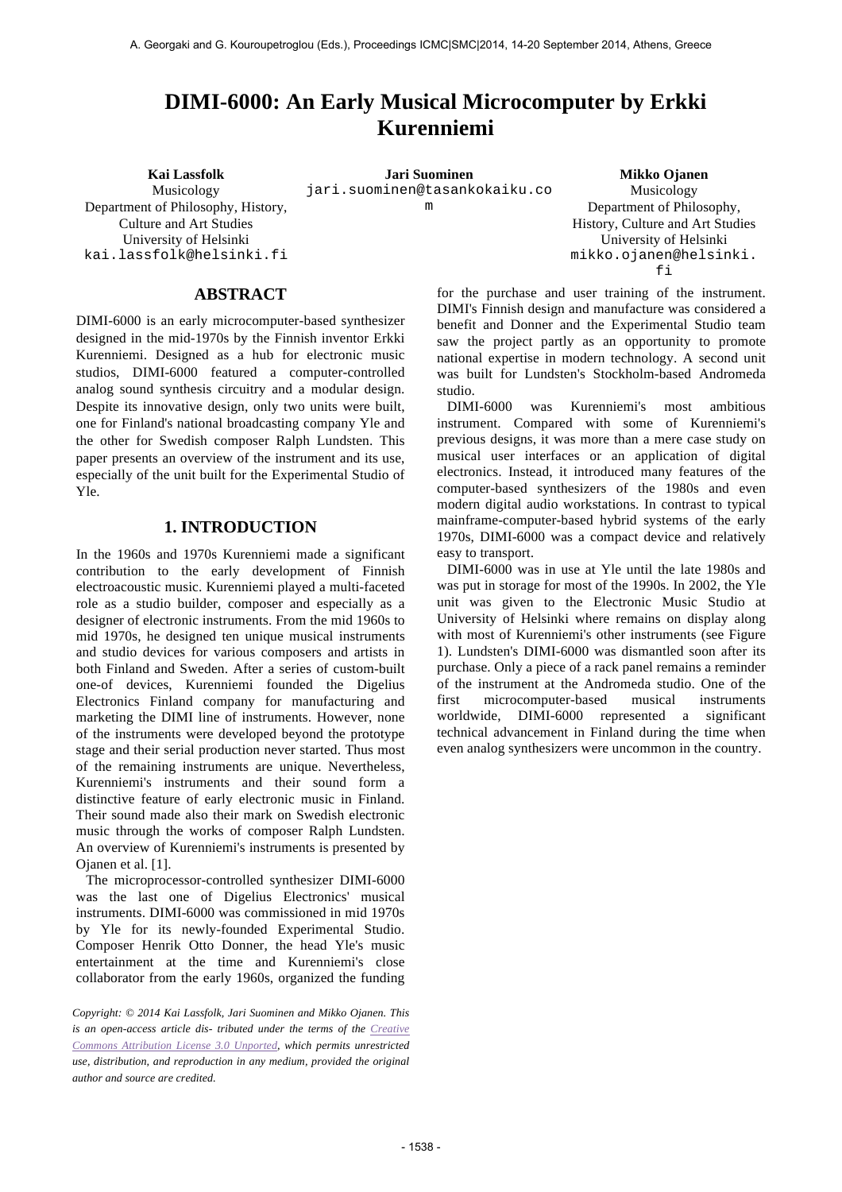# **DIMI-6000: An Early Musical Microcomputer by Erkki Kurenniemi**

Musicology Department of Philosophy, History, Culture and Art Studies University of Helsinki kai.lassfolk@helsinki.fi

**ABSTRACT** 

DIMI-6000 is an early microcomputer-based synthesizer designed in the mid-1970s by the Finnish inventor Erkki Kurenniemi. Designed as a hub for electronic music studios, DIMI-6000 featured a computer-controlled analog sound synthesis circuitry and a modular design. Despite its innovative design, only two units were built, one for Finland's national broadcasting company Yle and the other for Swedish composer Ralph Lundsten. This paper presents an overview of the instrument and its use, especially of the unit built for the Experimental Studio of Yle.

#### **1. INTRODUCTION**

In the 1960s and 1970s Kurenniemi made a significant contribution to the early development of Finnish electroacoustic music. Kurenniemi played a multi-faceted role as a studio builder, composer and especially as a designer of electronic instruments. From the mid 1960s to mid 1970s, he designed ten unique musical instruments and studio devices for various composers and artists in both Finland and Sweden. After a series of custom-built one-of devices, Kurenniemi founded the Digelius Electronics Finland company for manufacturing and marketing the DIMI line of instruments. However, none of the instruments were developed beyond the prototype stage and their serial production never started. Thus most of the remaining instruments are unique. Nevertheless, Kurenniemi's instruments and their sound form a distinctive feature of early electronic music in Finland. Their sound made also their mark on Swedish electronic music through the works of composer Ralph Lundsten. An overview of Kurenniemi's instruments is presented by Ojanen et al. [1].

The microprocessor-controlled synthesizer DIMI-6000 was the last one of Digelius Electronics' musical instruments. DIMI-6000 was commissioned in mid 1970s by Yle for its newly-founded Experimental Studio. Composer Henrik Otto Donner, the head Yle's music entertainment at the time and Kurenniemi's close collaborator from the early 1960s, organized the funding

*Copyright: © 2014 Kai Lassfolk, Jari Suominen and Mikko Ojanen. This is an open-access article dis- tributed under the terms of the Creative Commons Attribution License 3.0 Unported, which permits unrestricted use, distribution, and reproduction in any medium, provided the original author and source are credited.*

**Kai Lassfolk Jari Suominen Mikko Ojanen** jari.suominen@tasankokaiku.co m

Musicology Department of Philosophy, History, Culture and Art Studies University of Helsinki mikko.ojanen@helsinki. fi

for the purchase and user training of the instrument. DIMI's Finnish design and manufacture was considered a benefit and Donner and the Experimental Studio team saw the project partly as an opportunity to promote national expertise in modern technology. A second unit was built for Lundsten's Stockholm-based Andromeda studio.

DIMI-6000 was Kurenniemi's most ambitious instrument. Compared with some of Kurenniemi's previous designs, it was more than a mere case study on musical user interfaces or an application of digital electronics. Instead, it introduced many features of the computer-based synthesizers of the 1980s and even modern digital audio workstations. In contrast to typical mainframe-computer-based hybrid systems of the early 1970s, DIMI-6000 was a compact device and relatively easy to transport.

DIMI-6000 was in use at Yle until the late 1980s and was put in storage for most of the 1990s. In 2002, the Yle unit was given to the Electronic Music Studio at University of Helsinki where remains on display along with most of Kurenniemi's other instruments (see Figure 1). Lundsten's DIMI-6000 was dismantled soon after its purchase. Only a piece of a rack panel remains a reminder of the instrument at the Andromeda studio. One of the first microcomputer-based musical instruments worldwide, DIMI-6000 represented a significant technical advancement in Finland during the time when even analog synthesizers were uncommon in the country.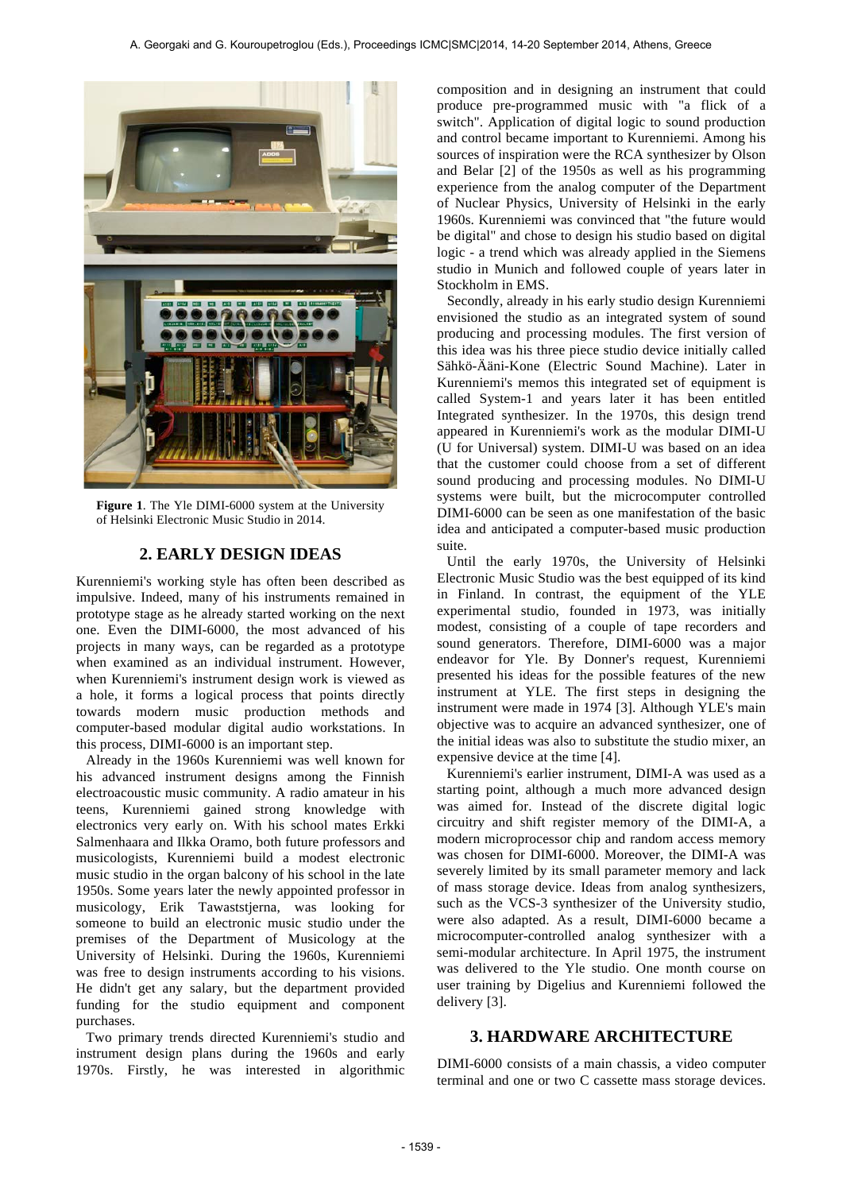

**Figure 1**. The Yle DIMI-6000 system at the University of Helsinki Electronic Music Studio in 2014.

### **2. EARLY DESIGN IDEAS**

Kurenniemi's working style has often been described as impulsive. Indeed, many of his instruments remained in prototype stage as he already started working on the next one. Even the DIMI-6000, the most advanced of his projects in many ways, can be regarded as a prototype when examined as an individual instrument. However, when Kurenniemi's instrument design work is viewed as a hole, it forms a logical process that points directly towards modern music production methods and computer-based modular digital audio workstations. In this process, DIMI-6000 is an important step.

Already in the 1960s Kurenniemi was well known for his advanced instrument designs among the Finnish electroacoustic music community. A radio amateur in his teens, Kurenniemi gained strong knowledge with electronics very early on. With his school mates Erkki Salmenhaara and Ilkka Oramo, both future professors and musicologists, Kurenniemi build a modest electronic music studio in the organ balcony of his school in the late 1950s. Some years later the newly appointed professor in musicology, Erik Tawaststjerna, was looking for someone to build an electronic music studio under the premises of the Department of Musicology at the University of Helsinki. During the 1960s, Kurenniemi was free to design instruments according to his visions. He didn't get any salary, but the department provided funding for the studio equipment and component purchases.

Two primary trends directed Kurenniemi's studio and instrument design plans during the 1960s and early 1970s. Firstly, he was interested in algorithmic composition and in designing an instrument that could produce pre-programmed music with "a flick of a switch". Application of digital logic to sound production and control became important to Kurenniemi. Among his sources of inspiration were the RCA synthesizer by Olson and Belar [2] of the 1950s as well as his programming experience from the analog computer of the Department of Nuclear Physics, University of Helsinki in the early 1960s. Kurenniemi was convinced that "the future would be digital" and chose to design his studio based on digital logic - a trend which was already applied in the Siemens studio in Munich and followed couple of years later in Stockholm in EMS.

Secondly, already in his early studio design Kurenniemi envisioned the studio as an integrated system of sound producing and processing modules. The first version of this idea was his three piece studio device initially called Sähkö-Ääni-Kone (Electric Sound Machine). Later in Kurenniemi's memos this integrated set of equipment is called System-1 and years later it has been entitled Integrated synthesizer. In the 1970s, this design trend appeared in Kurenniemi's work as the modular DIMI-U (U for Universal) system. DIMI-U was based on an idea that the customer could choose from a set of different sound producing and processing modules. No DIMI-U systems were built, but the microcomputer controlled DIMI-6000 can be seen as one manifestation of the basic idea and anticipated a computer-based music production suite.

Until the early 1970s, the University of Helsinki Electronic Music Studio was the best equipped of its kind in Finland. In contrast, the equipment of the YLE experimental studio, founded in 1973, was initially modest, consisting of a couple of tape recorders and sound generators. Therefore, DIMI-6000 was a major endeavor for Yle. By Donner's request, Kurenniemi presented his ideas for the possible features of the new instrument at YLE. The first steps in designing the instrument were made in 1974 [3]. Although YLE's main objective was to acquire an advanced synthesizer, one of the initial ideas was also to substitute the studio mixer, an expensive device at the time [4].

Kurenniemi's earlier instrument, DIMI-A was used as a starting point, although a much more advanced design was aimed for. Instead of the discrete digital logic circuitry and shift register memory of the DIMI-A, a modern microprocessor chip and random access memory was chosen for DIMI-6000. Moreover, the DIMI-A was severely limited by its small parameter memory and lack of mass storage device. Ideas from analog synthesizers, such as the VCS-3 synthesizer of the University studio, were also adapted. As a result, DIMI-6000 became a microcomputer-controlled analog synthesizer with a semi-modular architecture. In April 1975, the instrument was delivered to the Yle studio. One month course on user training by Digelius and Kurenniemi followed the delivery [3].

#### **3. HARDWARE ARCHITECTURE**

DIMI-6000 consists of a main chassis, a video computer terminal and one or two C cassette mass storage devices.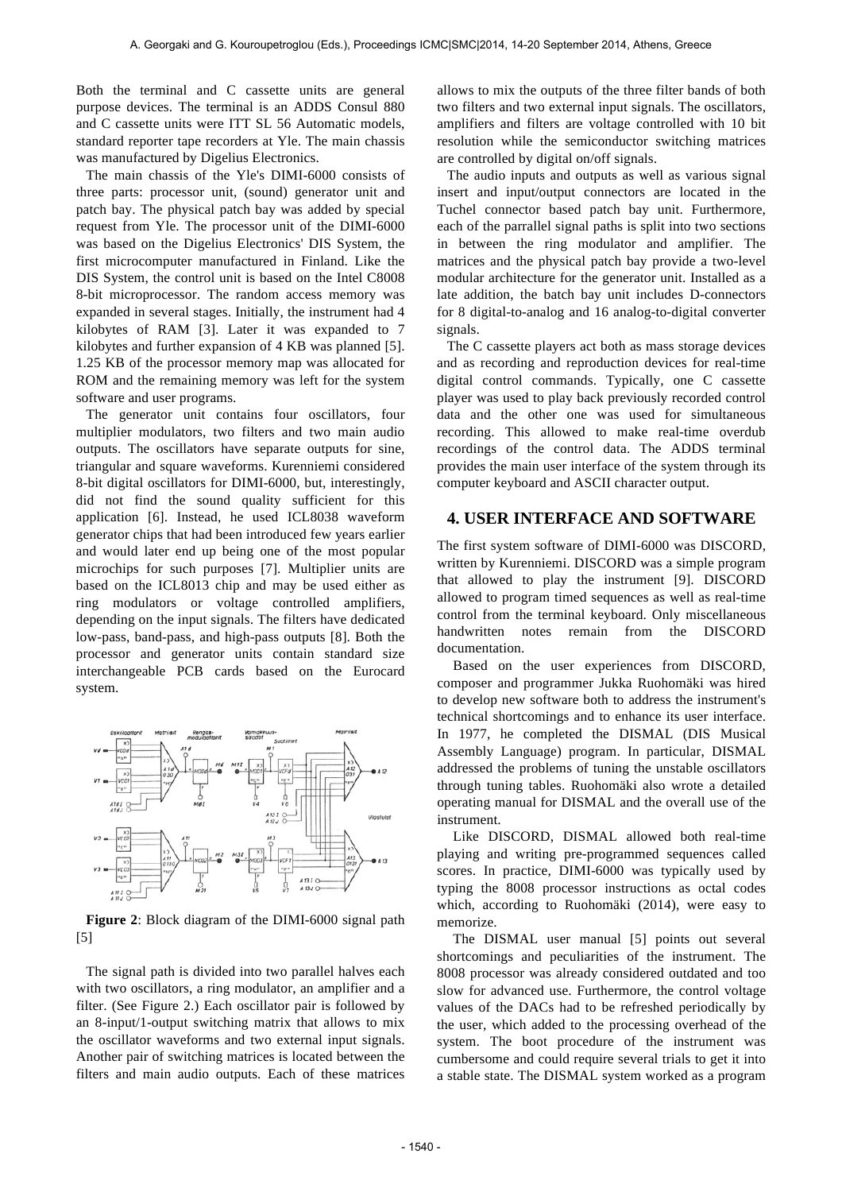Both the terminal and C cassette units are general purpose devices. The terminal is an ADDS Consul 880 and C cassette units were ITT SL 56 Automatic models, standard reporter tape recorders at Yle. The main chassis was manufactured by Digelius Electronics.

The main chassis of the Yle's DIMI-6000 consists of three parts: processor unit, (sound) generator unit and patch bay. The physical patch bay was added by special request from Yle. The processor unit of the DIMI-6000 was based on the Digelius Electronics' DIS System, the first microcomputer manufactured in Finland. Like the DIS System, the control unit is based on the Intel C8008 8-bit microprocessor. The random access memory was expanded in several stages. Initially, the instrument had 4 kilobytes of RAM [3]. Later it was expanded to 7 kilobytes and further expansion of 4 KB was planned [5]. 1.25 KB of the processor memory map was allocated for ROM and the remaining memory was left for the system software and user programs.

The generator unit contains four oscillators, four multiplier modulators, two filters and two main audio outputs. The oscillators have separate outputs for sine, triangular and square waveforms. Kurenniemi considered 8-bit digital oscillators for DIMI-6000, but, interestingly, did not find the sound quality sufficient for this application [6]. Instead, he used ICL8038 waveform generator chips that had been introduced few years earlier and would later end up being one of the most popular microchips for such purposes [7]. Multiplier units are based on the ICL8013 chip and may be used either as ring modulators or voltage controlled amplifiers, depending on the input signals. The filters have dedicated low-pass, band-pass, and high-pass outputs [8]. Both the processor and generator units contain standard size interchangeable PCB cards based on the Eurocard system.



**Figure 2**: Block diagram of the DIMI-6000 signal path [5]

The signal path is divided into two parallel halves each with two oscillators, a ring modulator, an amplifier and a filter. (See Figure 2.) Each oscillator pair is followed by an 8-input/1-output switching matrix that allows to mix the oscillator waveforms and two external input signals. Another pair of switching matrices is located between the filters and main audio outputs. Each of these matrices allows to mix the outputs of the three filter bands of both two filters and two external input signals. The oscillators, amplifiers and filters are voltage controlled with 10 bit resolution while the semiconductor switching matrices are controlled by digital on/off signals.

The audio inputs and outputs as well as various signal insert and input/output connectors are located in the Tuchel connector based patch bay unit. Furthermore, each of the parrallel signal paths is split into two sections in between the ring modulator and amplifier. The matrices and the physical patch bay provide a two-level modular architecture for the generator unit. Installed as a late addition, the batch bay unit includes D-connectors for 8 digital-to-analog and 16 analog-to-digital converter signals.

The C cassette players act both as mass storage devices and as recording and reproduction devices for real-time digital control commands. Typically, one C cassette player was used to play back previously recorded control data and the other one was used for simultaneous recording. This allowed to make real-time overdub recordings of the control data. The ADDS terminal provides the main user interface of the system through its computer keyboard and ASCII character output.

#### **4. USER INTERFACE AND SOFTWARE**

The first system software of DIMI-6000 was DISCORD, written by Kurenniemi. DISCORD was a simple program that allowed to play the instrument [9]. DISCORD allowed to program timed sequences as well as real-time control from the terminal keyboard. Only miscellaneous handwritten notes remain from the DISCORD documentation.

Based on the user experiences from DISCORD, composer and programmer Jukka Ruohomäki was hired to develop new software both to address the instrument's technical shortcomings and to enhance its user interface. In 1977, he completed the DISMAL (DIS Musical Assembly Language) program. In particular, DISMAL addressed the problems of tuning the unstable oscillators through tuning tables. Ruohomäki also wrote a detailed operating manual for DISMAL and the overall use of the instrument.

Like DISCORD, DISMAL allowed both real-time playing and writing pre-programmed sequences called scores. In practice, DIMI-6000 was typically used by typing the 8008 processor instructions as octal codes which, according to Ruohomäki (2014), were easy to memorize.

The DISMAL user manual [5] points out several shortcomings and peculiarities of the instrument. The 8008 processor was already considered outdated and too slow for advanced use. Furthermore, the control voltage values of the DACs had to be refreshed periodically by the user, which added to the processing overhead of the system. The boot procedure of the instrument was cumbersome and could require several trials to get it into a stable state. The DISMAL system worked as a program